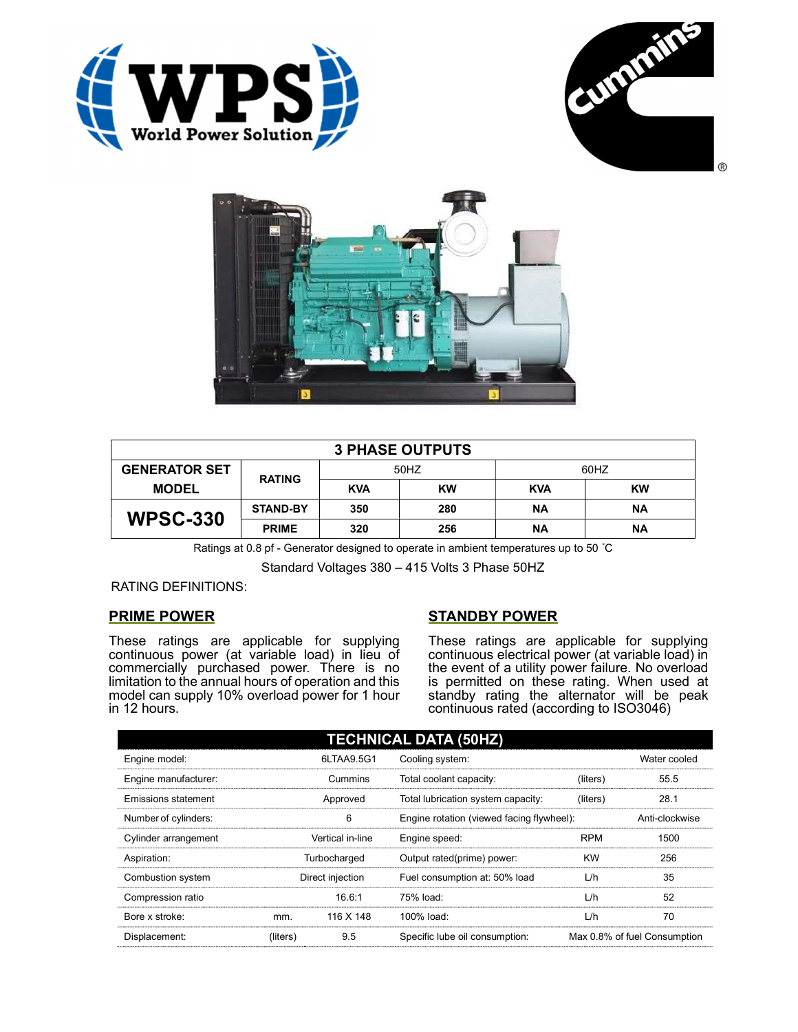





| <b>3 PHASE OUTPUTS</b> |                 |            |           |            |           |  |
|------------------------|-----------------|------------|-----------|------------|-----------|--|
| <b>GENERATOR SET</b>   |                 | 50HZ       |           | 60HZ       |           |  |
| <b>MODEL</b>           | <b>RATING</b>   | <b>KVA</b> | <b>KW</b> | <b>KVA</b> | <b>KW</b> |  |
| <b>WPSC-330</b>        | <b>STAND-BY</b> | 350        | 280       | ΝA         | <b>NA</b> |  |
|                        | <b>PRIME</b>    | 320        | 256       | <b>NA</b>  | <b>NA</b> |  |

Ratings at 0.8 pf - Generator designed to operate in ambient temperatures up to 50 °C

Standard Voltages 380 – 415 Volts 3 Phase 50HZ

RATING DEFINITIONS:

## PRIME POWER

These ratings are applicable for supplying continuous power (at variable load) in lieu of commercially purchased power. There is no limitation to the annual hours of operation and this model can supply 10% overload power for 1 hour in 12 hours.

# STANDBY POWER

These ratings are applicable for supplying continuous electrical power (at variable load) in the event of a utility power failure. No overload is permitted on these rating. When used at standby rating the alternator will be peak continuous rated (according to ISO3046)

| <b>TECHNICAL DATA (50HZ)</b> |                  |            |                                           |            |                              |  |
|------------------------------|------------------|------------|-------------------------------------------|------------|------------------------------|--|
| Engine model:                |                  | 6LTAA9.5G1 | Cooling system:                           |            | Water cooled                 |  |
| Engine manufacturer:         | Cummins          |            | Total coolant capacity:                   | (liters)   | 55.5                         |  |
| Emissions statement          | Approved         |            | Total lubrication system capacity:        | (liters)   | 28.1                         |  |
| Number of cylinders:         | 6                |            | Engine rotation (viewed facing flywheel): |            | Anti-clockwise               |  |
| Cylinder arrangement         | Vertical in-line |            | Engine speed:                             | <b>RPM</b> | 1500                         |  |
| Aspiration:                  | Turbocharged     |            | Output rated(prime) power:                | <b>KW</b>  | 256                          |  |
| Combustion system            | Direct injection |            | Fuel consumption at: 50% load             | L/h        | 35                           |  |
| Compression ratio            |                  | 16.6:1     | 75% load:                                 | L/h        | 52                           |  |
| Bore x stroke:               | mm.              | 116 X 148  | 100% load:                                | L/h        | 70                           |  |
| Displacement:                | (liters)         | 9.5        | Specific lube oil consumption:            |            | Max 0.8% of fuel Consumption |  |